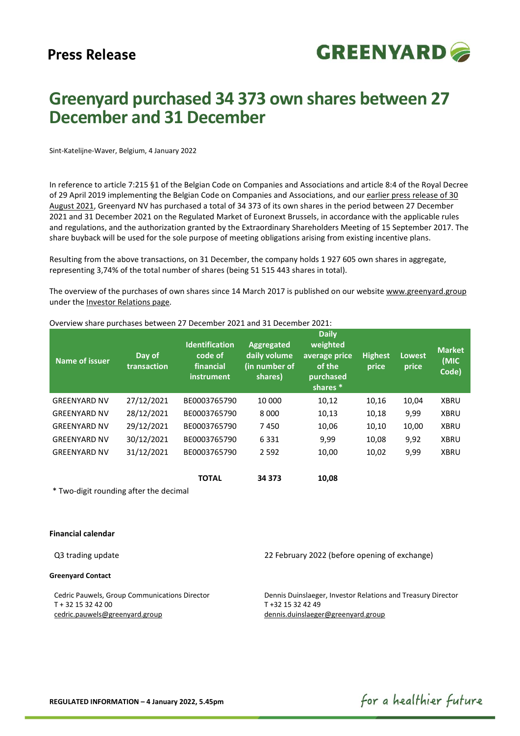

# Greenyard purchased 34 373 own shares between 27 December and 31 December

Sint-Katelijne-Waver, Belgium, 4 January 2022

In reference to article 7:215 §1 of the Belgian Code on Companies and Associations and article 8:4 of the Royal Decree of 29 April 2019 implementing the Belgian Code on Companies and Associations, and our earlier press release of 30 August 2021, Greenyard NV has purchased a total of 34 373 of its own shares in the period between 27 December 2021 and 31 December 2021 on the Regulated Market of Euronext Brussels, in accordance with the applicable rules and regulations, and the authorization granted by the Extraordinary Shareholders Meeting of 15 September 2017. The share buyback will be used for the sole purpose of meeting obligations arising from existing incentive plans.

Resulting from the above transactions, on 31 December, the company holds 1 927 605 own shares in aggregate, representing 3,74% of the total number of shares (being 51 515 443 shares in total).

The overview of the purchases of own shares since 14 March 2017 is published on our website www.greenyard.group under the Investor Relations page.

| Name of issuer      | Day of<br>transaction | <b>Identification</b><br>code of<br>financial<br>instrument | Aggregated<br>daily volume<br>(in number of<br>shares) | <b>Daily</b><br>weighted<br>average price<br>of the<br>purchased<br>shares <sup>*</sup> | <b>Highest</b><br>price | <b>Lowest</b><br>price | <b>Market</b><br>(MIC<br>Code) |
|---------------------|-----------------------|-------------------------------------------------------------|--------------------------------------------------------|-----------------------------------------------------------------------------------------|-------------------------|------------------------|--------------------------------|
| <b>GREENYARD NV</b> | 27/12/2021            | BE0003765790                                                | 10 000                                                 | 10,12                                                                                   | 10,16                   | 10,04                  | <b>XBRU</b>                    |
| <b>GREENYARD NV</b> | 28/12/2021            | BE0003765790                                                | 8000                                                   | 10,13                                                                                   | 10,18                   | 9,99                   | <b>XBRU</b>                    |
| <b>GREENYARD NV</b> | 29/12/2021            | BE0003765790                                                | 7450                                                   | 10,06                                                                                   | 10,10                   | 10,00                  | <b>XBRU</b>                    |
| <b>GREENYARD NV</b> | 30/12/2021            | BE0003765790                                                | 6331                                                   | 9,99                                                                                    | 10,08                   | 9,92                   | <b>XBRU</b>                    |
| <b>GREENYARD NV</b> | 31/12/2021            | BE0003765790                                                | 2 5 9 2                                                | 10,00                                                                                   | 10,02                   | 9,99                   | <b>XBRU</b>                    |
|                     |                       | <b>TOTAL</b>                                                | 34 373                                                 | 10,08                                                                                   |                         |                        |                                |

Overview share purchases between 27 December 2021 and 31 December 2021:

\* Two-digit rounding after the decimal

# Financial calendar

### Greenyard Contact

Cedric Pauwels, Group Communications Director T + 32 15 32 42 00 cedric.pauwels@greenyard.group

Q3 trading update 22 February 2022 (before opening of exchange)

Dennis Duinslaeger, Investor Relations and Treasury Director T +32 15 32 42 49 dennis.duinslaeger@greenyard.group

for a healthier future